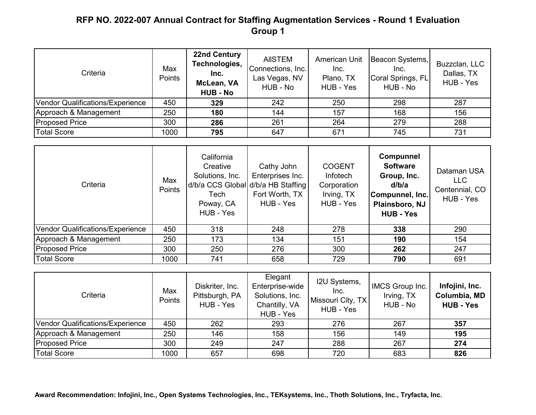| Criteria                         | Max<br>Points | <b>22nd Century</b><br>Technologies,<br>Inc.<br>McLean, VA<br><b>HUB - No</b> | <b>AIISTEM</b><br>Connections, Inc.<br>Las Vegas, NV<br>HUB - No | <b>American Unit</b><br>Inc.<br>Plano, TX<br>HUB - Yes | Beacon Systems,<br>Inc.<br>Coral Springs, FL<br>HUB - No | Buzzclan, LLC<br>Dallas, TX<br>HUB - Yes |
|----------------------------------|---------------|-------------------------------------------------------------------------------|------------------------------------------------------------------|--------------------------------------------------------|----------------------------------------------------------|------------------------------------------|
| Vendor Qualifications/Experience | 450           | 329                                                                           | 242                                                              | 250                                                    | 298                                                      | 287                                      |
| Approach & Management            | 250           | 180                                                                           | 144                                                              | 157                                                    | 168                                                      | 156                                      |
| <b>Proposed Price</b>            | 300           | 286                                                                           | 261                                                              | 264                                                    | 279                                                      | 288                                      |
| <b>Total Score</b>               | 1000          | 795                                                                           | 647                                                              | 671                                                    | 745                                                      | 731                                      |

| Criteria                         | Max<br>Points | California<br>Creative<br>Solutions, Inc.<br>d/b/a CCS Global d/b/a HB Staffing<br>Tech<br>Poway, CA<br>HUB - Yes | Cathy John<br>Enterprises Inc.<br>Fort Worth, TX<br>HUB - Yes | <b>COGENT</b><br><b>Infotech</b><br>Corporation<br>Irving, TX<br>HUB - Yes | <b>Compunnel</b><br><b>Software</b><br>Group, Inc.<br>d/b/a<br>Compunnel, Inc.<br>Plainsboro, NJ<br><b>HUB - Yes</b> | Dataman USA<br><b>LLC</b><br>Centennial, CO<br>HUB - Yes |
|----------------------------------|---------------|-------------------------------------------------------------------------------------------------------------------|---------------------------------------------------------------|----------------------------------------------------------------------------|----------------------------------------------------------------------------------------------------------------------|----------------------------------------------------------|
| Vendor Qualifications/Experience | 450           | 318                                                                                                               | 248                                                           | 278                                                                        | 338                                                                                                                  | 290                                                      |
| Approach & Management            | 250           | 173                                                                                                               | 134                                                           | 151                                                                        | 190                                                                                                                  | 154                                                      |
| <b>Proposed Price</b>            | 300           | 250                                                                                                               | 276                                                           | 300                                                                        | 262                                                                                                                  | 247                                                      |
| <b>Total Score</b>               | 1000          | 741                                                                                                               | 658                                                           | 729                                                                        | 790                                                                                                                  | 691                                                      |

| Criteria                         | Max<br><b>Points</b> | Diskriter, Inc.<br>Pittsburgh, PA<br>HUB - Yes | Elegant<br>Enterprise-wide<br>Solutions, Inc.<br>Chantilly, VA<br>HUB - Yes | I2U Systems,<br>Inc.<br>Missouri City, TX<br>HUB - Yes | IMCS Group Inc.<br>Irving, TX<br>HUB - No | Infojini, Inc.<br>Columbia, MD<br><b>HUB - Yes</b> |
|----------------------------------|----------------------|------------------------------------------------|-----------------------------------------------------------------------------|--------------------------------------------------------|-------------------------------------------|----------------------------------------------------|
| Vendor Qualifications/Experience | 450                  | 262                                            | 293                                                                         | 276                                                    | 267                                       | 357                                                |
| Approach & Management            | 250                  | 146                                            | 158                                                                         | 156                                                    | 149                                       | 195                                                |
| <b>Proposed Price</b>            | 300                  | 249                                            | 247                                                                         | 288                                                    | 267                                       | 274                                                |
| <b>Total Score</b>               | 1000                 | 657                                            | 698                                                                         | 720                                                    | 683                                       | 826                                                |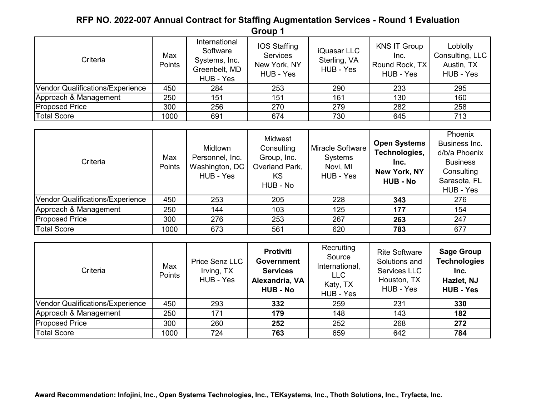| Criteria                         | Max<br>Points | International<br>Software<br>Systems, Inc.<br>Greenbelt, MD<br>HUB - Yes | <b>IOS Staffing</b><br>Services<br>New York, NY<br>HUB - Yes | iQuasar LLC<br>Sterling, VA<br>HUB - Yes | KNS IT Group<br>Inc.<br>Round Rock, TX<br>HUB - Yes | Loblolly<br>Consulting, LLC<br>Austin, TX<br>HUB - Yes |
|----------------------------------|---------------|--------------------------------------------------------------------------|--------------------------------------------------------------|------------------------------------------|-----------------------------------------------------|--------------------------------------------------------|
| Vendor Qualifications/Experience | 450           | 284                                                                      | 253                                                          | 290                                      | 233                                                 | 295                                                    |
| Approach & Management            | 250           | 151                                                                      | 151                                                          | 161                                      | 130                                                 | 160                                                    |
| <b>Proposed Price</b>            | 300           | 256                                                                      | 270                                                          | 279                                      | 282                                                 | 258                                                    |
| <b>Total Score</b>               | 1000          | 691                                                                      | 674                                                          | 730                                      | 645                                                 | 713                                                    |

| Criteria                         | Max<br>Points | Midtown<br>Personnel, Inc.<br>Washington, DC<br>HUB - Yes | Midwest<br>Consulting<br>Group, Inc.<br>Overland Park,<br>KS<br>HUB - No | <b>Miracle Software</b><br>Systems<br>Novi, MI<br>HUB - Yes | <b>Open Systems</b><br>Technologies,<br>Inc.<br>New York, NY<br><b>HUB - No</b> | Phoenix<br>Business Inc.<br>d/b/a Phoenix<br><b>Business</b><br>Consulting<br>Sarasota, FL<br>HUB - Yes |
|----------------------------------|---------------|-----------------------------------------------------------|--------------------------------------------------------------------------|-------------------------------------------------------------|---------------------------------------------------------------------------------|---------------------------------------------------------------------------------------------------------|
| Vendor Qualifications/Experience | 450           | 253                                                       | 205                                                                      | 228                                                         | 343                                                                             | 276                                                                                                     |
| Approach & Management            | 250           | 144                                                       | 103                                                                      | 125                                                         | 177                                                                             | 154                                                                                                     |
| <b>Proposed Price</b>            | 300           | 276                                                       | 253                                                                      | 267                                                         | 263                                                                             | 247                                                                                                     |
| <b>Total Score</b>               | 1000          | 673                                                       | 561                                                                      | 620                                                         | 783                                                                             | 677                                                                                                     |

| Criteria                         | Max<br>Points | Price Senz LLC<br>Irving, TX<br>HUB - Yes | <b>Protiviti</b><br><b>Government</b><br><b>Services</b><br>Alexandria, VA<br><b>HUB - No</b> | Recruiting<br>Source<br>International,<br><b>LLC</b><br>Katy, TX<br>HUB - Yes | <b>Rite Software</b><br>Solutions and<br>Services LLC<br>Houston, TX<br>HUB - Yes | <b>Sage Group</b><br><b>Technologies</b><br>Inc.<br>Hazlet, NJ<br><b>HUB - Yes</b> |
|----------------------------------|---------------|-------------------------------------------|-----------------------------------------------------------------------------------------------|-------------------------------------------------------------------------------|-----------------------------------------------------------------------------------|------------------------------------------------------------------------------------|
| Vendor Qualifications/Experience | 450           | 293                                       | 332                                                                                           | 259                                                                           | 231                                                                               | 330                                                                                |
| Approach & Management            | 250           | 171                                       | 179                                                                                           | 148                                                                           | 143                                                                               | 182                                                                                |
| <b>Proposed Price</b>            | 300           | 260                                       | 252                                                                                           | 252                                                                           | 268                                                                               | 272                                                                                |
| <b>Total Score</b>               | 1000          | 724                                       | 763                                                                                           | 659                                                                           | 642                                                                               | 784                                                                                |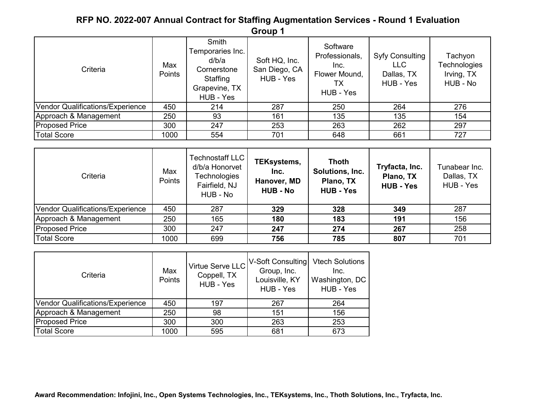| Criteria                         | Max<br>Points | Smith<br>Temporaries Inc.<br>d/b/a<br>Cornerstone<br>Staffing<br>Grapevine, TX<br>HUB - Yes | Soft HQ, Inc.<br>San Diego, CA<br>HUB - Yes | Software<br>Professionals,<br>Inc.<br>Flower Mound,<br>ТX<br>HUB - Yes | Syfy Consulting<br><b>LLC</b><br>Dallas, TX<br>HUB - Yes | Tachyon<br>Technologies<br>Irving, TX<br>HUB - No |
|----------------------------------|---------------|---------------------------------------------------------------------------------------------|---------------------------------------------|------------------------------------------------------------------------|----------------------------------------------------------|---------------------------------------------------|
| Vendor Qualifications/Experience | 450           | 214                                                                                         | 287                                         | 250                                                                    | 264                                                      | 276                                               |
| Approach & Management            | 250           | 93                                                                                          | 161                                         | 135                                                                    | 135                                                      | 154                                               |
| <b>Proposed Price</b>            | 300           | 247                                                                                         | 253                                         | 263                                                                    | 262                                                      | 297                                               |
| <b>Total Score</b>               | 1000          | 554                                                                                         | 701                                         | 648                                                                    | 661                                                      | 727                                               |

| Criteria                         | Max<br>Points | <b>Technostaff LLC</b><br>d/b/a Honorvet<br>Technologies<br>Fairfield, NJ<br>HUB - No | <b>TEKsystems,</b><br>Inc.<br>Hanover, MD<br><b>HUB - No</b> | <b>Thoth</b><br>Solutions, Inc.<br>Plano, TX<br><b>HUB - Yes</b> | Tryfacta, Inc.<br>Plano, TX<br><b>HUB - Yes</b> | Tunabear Inc.<br>Dallas, TX<br>HUB - Yes |
|----------------------------------|---------------|---------------------------------------------------------------------------------------|--------------------------------------------------------------|------------------------------------------------------------------|-------------------------------------------------|------------------------------------------|
| Vendor Qualifications/Experience | 450           | 287                                                                                   | 329                                                          | 328                                                              | 349                                             | 287                                      |
| Approach & Management            | 250           | 165                                                                                   | 180                                                          | 183                                                              | 191                                             | 156                                      |
| <b>Proposed Price</b>            | 300           | 247                                                                                   | 247                                                          | 274                                                              | 267                                             | 258                                      |
| <b>Total Score</b>               | 1000          | 699                                                                                   | 756                                                          | 785                                                              | 807                                             | 701                                      |

| Criteria                         | Max<br><b>Points</b> | Virtue Serve LLC<br>Coppell, TX<br>HUB - Yes | V-Soft Consulting<br>Group, Inc.<br>Louisville, KY<br>HUB - Yes | <b>Vtech Solutions</b><br>Inc.<br>Washington, DC<br>HUB - Yes |
|----------------------------------|----------------------|----------------------------------------------|-----------------------------------------------------------------|---------------------------------------------------------------|
| Vendor Qualifications/Experience | 450                  | 197                                          | 267                                                             | 264                                                           |
| Approach & Management            | 250                  | 98                                           | 151                                                             | 156                                                           |
| <b>Proposed Price</b>            | 300                  | 300                                          | 263                                                             | 253                                                           |
| <b>Total Score</b>               | 1000                 | 595                                          | 681                                                             | 673                                                           |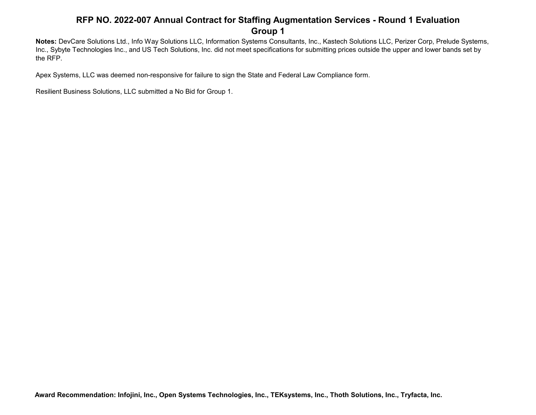**Notes:** DevCare Solutions Ltd., Info Way Solutions LLC, Information Systems Consultants, Inc., Kastech Solutions LLC, Perizer Corp, Prelude Systems, Inc., Sybyte Technologies Inc., and US Tech Solutions, Inc. did not meet specifications for submitting prices outside the upper and lower bands set by the RFP.

Apex Systems, LLC was deemed non-responsive for failure to sign the State and Federal Law Compliance form.

Resilient Business Solutions, LLC submitted a No Bid for Group 1.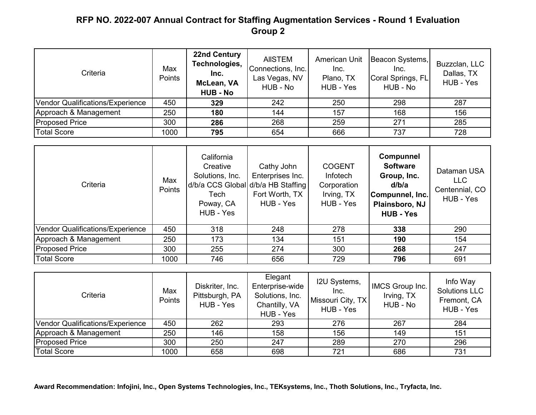| Criteria                         | Max<br>Points | <b>22nd Century</b><br>Technologies,<br>Inc.<br>McLean, VA<br><b>HUB - No</b> | <b>AIISTEM</b><br>Connections, Inc.<br>Las Vegas, NV<br>HUB - No | American Unit<br>Inc.<br>Plano, TX<br>HUB - Yes | Beacon Systems,<br>Inc.<br>Coral Springs, FL<br>HUB - No | Buzzclan, LLC<br>Dallas, TX<br>HUB - Yes |
|----------------------------------|---------------|-------------------------------------------------------------------------------|------------------------------------------------------------------|-------------------------------------------------|----------------------------------------------------------|------------------------------------------|
| Vendor Qualifications/Experience | 450           | 329                                                                           | 242                                                              | 250                                             | 298                                                      | 287                                      |
| Approach & Management            | 250           | 180                                                                           | 144                                                              | 157                                             | 168                                                      | 156                                      |
| <b>Proposed Price</b>            | 300           | 286                                                                           | 268                                                              | 259                                             | 271                                                      | 285                                      |
| <b>Total Score</b>               | 1000          | 795                                                                           | 654                                                              | 666                                             | 737                                                      | 728                                      |

| Criteria                         | Max<br>Points | California<br>Creative<br>Solutions, Inc.<br>d/b/a CCS Global d/b/a HB Staffing<br>Tech<br>Poway, CA<br>HUB - Yes | Cathy John<br>Enterprises Inc.<br>Fort Worth, TX<br>HUB - Yes | <b>COGENT</b><br>Infotech<br>Corporation<br>Irving, TX<br>HUB - Yes | <b>Compunnel</b><br><b>Software</b><br>Group, Inc.<br>d/b/a<br>Compunnel, Inc.<br>Plainsboro, NJ<br><b>HUB - Yes</b> | Dataman USA<br><b>LLC</b><br>Centennial, CO<br>HUB - Yes |
|----------------------------------|---------------|-------------------------------------------------------------------------------------------------------------------|---------------------------------------------------------------|---------------------------------------------------------------------|----------------------------------------------------------------------------------------------------------------------|----------------------------------------------------------|
| Vendor Qualifications/Experience | 450           | 318                                                                                                               | 248                                                           | 278                                                                 | 338                                                                                                                  | 290                                                      |
| Approach & Management            | 250           | 173                                                                                                               | 134                                                           | 151                                                                 | 190                                                                                                                  | 154                                                      |
| <b>Proposed Price</b>            | 300           | 255                                                                                                               | 274                                                           | 300                                                                 | 268                                                                                                                  | 247                                                      |
| <b>Total Score</b>               | 1000          | 746                                                                                                               | 656                                                           | 729                                                                 | 796                                                                                                                  | 691                                                      |

| Criteria                         | Max<br>Points | Diskriter, Inc.<br>Pittsburgh, PA<br>HUB - Yes | Elegant<br>Enterprise-wide<br>Solutions, Inc.<br>Chantilly, VA<br>HUB - Yes | I2U Systems,<br>Inc.<br>Missouri City, TX<br>HUB - Yes | IMCS Group Inc.<br>Irving, TX<br>HUB - No | Info Way<br><b>Solutions LLC</b><br>Fremont, CA<br>HUB - Yes |
|----------------------------------|---------------|------------------------------------------------|-----------------------------------------------------------------------------|--------------------------------------------------------|-------------------------------------------|--------------------------------------------------------------|
| Vendor Qualifications/Experience | 450           | 262                                            | 293                                                                         | 276                                                    | 267                                       | 284                                                          |
| Approach & Management            | 250           | 146                                            | 158                                                                         | 156                                                    | 149                                       | 151                                                          |
| <b>Proposed Price</b>            | 300           | 250                                            | 247                                                                         | 289                                                    | 270                                       | 296                                                          |
| <b>Total Score</b>               | 1000          | 658                                            | 698                                                                         | 721                                                    | 686                                       | 731                                                          |

**Award Recommendation: Infojini, Inc., Open Systems Technologies, Inc., TEKsystems, Inc., Thoth Solutions, Inc., Tryfacta, Inc.**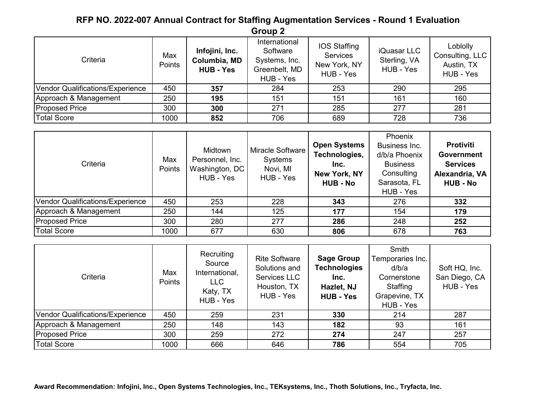| Criteria                         | Max<br>Points | Infojini, Inc.<br>Columbia, MD<br><b>HUB - Yes</b> | International<br>Software<br>Systems, Inc.<br>Greenbelt, MD<br>HUB - Yes | IOS Staffing<br>Services<br>New York, NY<br>HUB - Yes | iQuasar LLC<br>Sterling, VA<br>HUB - Yes | Loblolly<br>Consulting, LLC<br>Austin, TX<br>HUB - Yes |
|----------------------------------|---------------|----------------------------------------------------|--------------------------------------------------------------------------|-------------------------------------------------------|------------------------------------------|--------------------------------------------------------|
| Vendor Qualifications/Experience | 450           | 357                                                | 284                                                                      | 253                                                   | 290                                      | 295                                                    |
| Approach & Management            | 250           | 195                                                | 151                                                                      | 151                                                   | 161                                      | 160                                                    |
| <b>Proposed Price</b>            | 300           | 300                                                | 271                                                                      | 285                                                   | 277                                      | 281                                                    |
| <b>Total Score</b>               | 1000          | 852                                                | 706                                                                      | 689                                                   | 728                                      | 736                                                    |

| Criteria                         | Max<br>Points | Midtown<br>Personnel, Inc.<br>Washington, DC<br>HUB - Yes | Miracle Software<br>Systems<br>Novi, MI<br>HUB - Yes | <b>Open Systems</b><br>Technologies,<br>Inc.<br><b>New York, NY</b><br><b>HUB - No</b> | Phoenix<br>Business Inc.<br>d/b/a Phoenix<br><b>Business</b><br>Consulting<br>Sarasota, FL<br>HUB - Yes | <b>Protiviti</b><br><b>Government</b><br><b>Services</b><br>Alexandria, VA<br><b>HUB - No</b> |
|----------------------------------|---------------|-----------------------------------------------------------|------------------------------------------------------|----------------------------------------------------------------------------------------|---------------------------------------------------------------------------------------------------------|-----------------------------------------------------------------------------------------------|
| Vendor Qualifications/Experience | 450           | 253                                                       | 228                                                  | 343                                                                                    | 276                                                                                                     | 332                                                                                           |
| Approach & Management            | 250           | 144                                                       | 125                                                  | 177                                                                                    | 154                                                                                                     | 179                                                                                           |
| <b>Proposed Price</b>            | 300           | 280                                                       | 277                                                  | 286                                                                                    | 248                                                                                                     | 252                                                                                           |
| <b>Total Score</b>               | 1000          | 677                                                       | 630                                                  | 806                                                                                    | 678                                                                                                     | 763                                                                                           |

| Criteria                         | Max<br>Points | Recruiting<br>Source<br>International,<br><b>LLC</b><br>Katy, TX<br>HUB - Yes | <b>Rite Software</b><br>Solutions and<br>Services LLC<br>Houston, TX<br>HUB - Yes | <b>Sage Group</b><br><b>Technologies</b><br>Inc.<br>Hazlet, NJ<br><b>HUB - Yes</b> | Smith<br>Temporaries Inc.<br>d/b/a<br>Cornerstone<br>Staffing<br>Grapevine, TX<br>HUB - Yes | Soft HQ, Inc.<br>San Diego, CA<br>HUB - Yes |
|----------------------------------|---------------|-------------------------------------------------------------------------------|-----------------------------------------------------------------------------------|------------------------------------------------------------------------------------|---------------------------------------------------------------------------------------------|---------------------------------------------|
| Vendor Qualifications/Experience | 450           | 259                                                                           | 231                                                                               | 330                                                                                | 214                                                                                         | 287                                         |
| Approach & Management            | 250           | 148                                                                           | 143                                                                               | 182                                                                                | 93                                                                                          | 161                                         |
| <b>Proposed Price</b>            | 300           | 259                                                                           | 272                                                                               | 274                                                                                | 247                                                                                         | 257                                         |
| <b>Total Score</b>               | 1000          | 666                                                                           | 646                                                                               | 786                                                                                | 554                                                                                         | 705                                         |

**Award Recommendation: Infojini, Inc., Open Systems Technologies, Inc., TEKsystems, Inc., Thoth Solutions, Inc., Tryfacta, Inc.**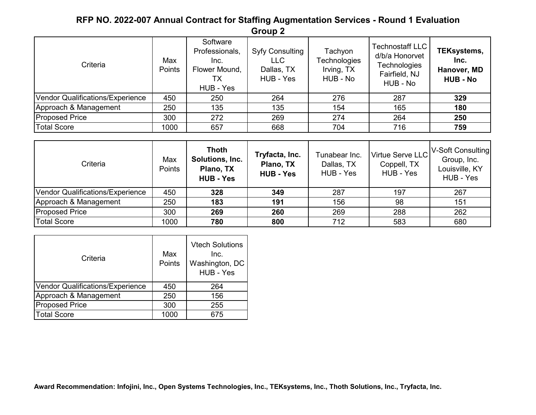| Criteria                         | Max<br>Points | Software<br>Professionals,<br>Inc.<br>Flower Mound,<br>TХ<br>HUB - Yes | <b>Syfy Consulting</b><br><b>LLC</b><br>Dallas, TX<br>HUB - Yes | Tachyon<br>Technologies<br>Irving, TX<br>HUB - No | <b>Technostaff LLC</b><br>d/b/a Honorvet<br>Technologies<br>Fairfield, NJ<br>HUB - No | <b>TEKsystems,</b><br>Inc.<br>Hanover, MD<br><b>HUB - No</b> |
|----------------------------------|---------------|------------------------------------------------------------------------|-----------------------------------------------------------------|---------------------------------------------------|---------------------------------------------------------------------------------------|--------------------------------------------------------------|
| Vendor Qualifications/Experience | 450           | 250                                                                    | 264                                                             | 276                                               | 287                                                                                   | 329                                                          |
| Approach & Management            | 250           | 135                                                                    | 135                                                             | 154                                               | 165                                                                                   | 180                                                          |
| <b>Proposed Price</b>            | 300           | 272                                                                    | 269                                                             | 274                                               | 264                                                                                   | 250                                                          |
| <b>Total Score</b>               | 1000          | 657                                                                    | 668                                                             | 704                                               | 716                                                                                   | 759                                                          |

| Criteria                         | Max<br>Points | <b>Thoth</b><br>Solutions, Inc.<br>Plano, TX<br><b>HUB - Yes</b> | Tryfacta, Inc.<br>Plano, TX<br><b>HUB - Yes</b> | Tunabear Inc.<br>Dallas, TX<br>HUB - Yes | Virtue Serve LLC<br>Coppell, TX<br>HUB - Yes | V-Soft Consulting<br>Group, Inc.<br>Louisville, KY<br>HUB - Yes |
|----------------------------------|---------------|------------------------------------------------------------------|-------------------------------------------------|------------------------------------------|----------------------------------------------|-----------------------------------------------------------------|
| Vendor Qualifications/Experience | 450           | 328                                                              | 349                                             | 287                                      | 197                                          | 267                                                             |
| Approach & Management            | 250           | 183                                                              | 191                                             | 156                                      | 98                                           | 151                                                             |
| <b>Proposed Price</b>            | 300           | 269                                                              | 260                                             | 269                                      | 288                                          | 262                                                             |
| <b>Total Score</b>               | 1000          | 780                                                              | 800                                             | 712                                      | 583                                          | 680                                                             |

| Criteria                         | Max<br>Points | <b>Vtech Solutions</b><br>Inc.<br>Washington, DC<br>HUB - Yes |
|----------------------------------|---------------|---------------------------------------------------------------|
| Vendor Qualifications/Experience | 450           | 264                                                           |
| Approach & Management            | 250           | 156                                                           |
| <b>Proposed Price</b>            | 300           | 255                                                           |
| <b>Total Score</b>               | 1000          | 675                                                           |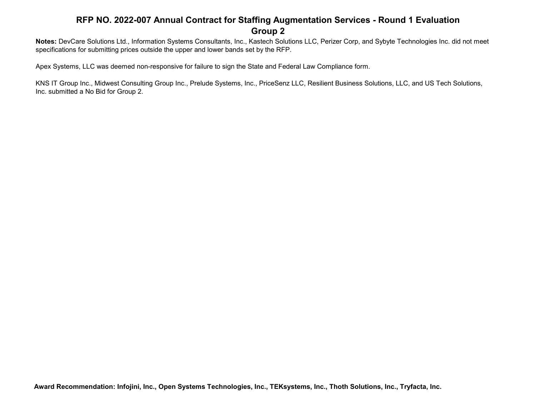**Notes:** DevCare Solutions Ltd., Information Systems Consultants, Inc., Kastech Solutions LLC, Perizer Corp, and Sybyte Technologies Inc. did not meet specifications for submitting prices outside the upper and lower bands set by the RFP.

Apex Systems, LLC was deemed non-responsive for failure to sign the State and Federal Law Compliance form.

KNS IT Group Inc., Midwest Consulting Group Inc., Prelude Systems, Inc., PriceSenz LLC, Resilient Business Solutions, LLC, and US Tech Solutions, Inc. submitted a No Bid for Group 2.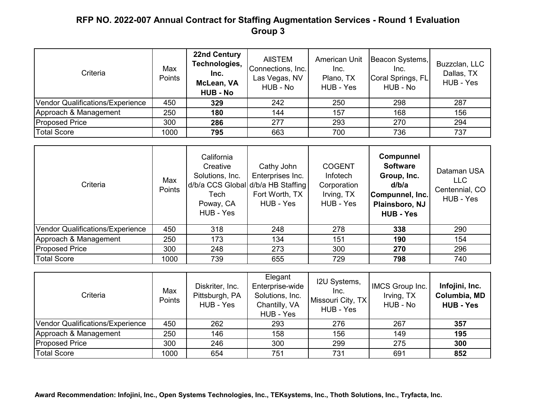| Criteria                         | Max<br>Points | <b>22nd Century</b><br>Technologies,<br>Inc.<br>McLean, VA<br><b>HUB - No</b> | <b>AIISTEM</b><br>Connections, Inc.<br>Las Vegas, NV<br>HUB - No | <b>American Unit</b><br>Inc.<br>Plano, TX<br>HUB - Yes | Beacon Systems,<br>Inc.<br>Coral Springs, FL<br>HUB - No | Buzzclan, LLC<br>Dallas, TX<br>HUB - Yes |
|----------------------------------|---------------|-------------------------------------------------------------------------------|------------------------------------------------------------------|--------------------------------------------------------|----------------------------------------------------------|------------------------------------------|
| Vendor Qualifications/Experience | 450           | 329                                                                           | 242                                                              | 250                                                    | 298                                                      | 287                                      |
| Approach & Management            | 250           | 180                                                                           | 144                                                              | 157                                                    | 168                                                      | 156                                      |
| <b>Proposed Price</b>            | 300           | 286                                                                           | 277                                                              | 293                                                    | 270                                                      | 294                                      |
| <b>Total Score</b>               | 1000          | 795                                                                           | 663                                                              | 700                                                    | 736                                                      | 737                                      |

| Criteria                         | Max<br>Points | California<br>Creative<br>Solutions, Inc.<br>d/b/a CCS Global d/b/a HB Staffing<br>Tech<br>Poway, CA<br>HUB - Yes | Cathy John<br>Enterprises Inc.<br>Fort Worth, TX<br>HUB - Yes | <b>COGENT</b><br><b>Infotech</b><br>Corporation<br>Irving, TX<br>HUB - Yes | <b>Compunnel</b><br><b>Software</b><br>Group, Inc.<br>d/b/a<br>Compunnel, Inc.<br>Plainsboro, NJ<br><b>HUB - Yes</b> | Dataman USA<br><b>LLC</b><br>Centennial, CO<br>HUB - Yes |
|----------------------------------|---------------|-------------------------------------------------------------------------------------------------------------------|---------------------------------------------------------------|----------------------------------------------------------------------------|----------------------------------------------------------------------------------------------------------------------|----------------------------------------------------------|
| Vendor Qualifications/Experience | 450           | 318                                                                                                               | 248                                                           | 278                                                                        | 338                                                                                                                  | 290                                                      |
| Approach & Management            | 250           | 173                                                                                                               | 134                                                           | 151                                                                        | 190                                                                                                                  | 154                                                      |
| <b>Proposed Price</b>            | 300           | 248                                                                                                               | 273                                                           | 300                                                                        | 270                                                                                                                  | 296                                                      |
| <b>Total Score</b>               | 1000          | 739                                                                                                               | 655                                                           | 729                                                                        | 798                                                                                                                  | 740                                                      |

| Criteria                         | Max<br>Points | Diskriter, Inc.<br>Pittsburgh, PA<br>HUB - Yes | Elegant<br>Enterprise-wide<br>Solutions, Inc.<br>Chantilly, VA<br>HUB - Yes | I2U Systems,<br>Inc.<br>Missouri City, TX<br>HUB - Yes | IMCS Group Inc.<br>Irving, TX<br>HUB - No | Infojini, Inc.<br>Columbia, MD<br><b>HUB - Yes</b> |
|----------------------------------|---------------|------------------------------------------------|-----------------------------------------------------------------------------|--------------------------------------------------------|-------------------------------------------|----------------------------------------------------|
| Vendor Qualifications/Experience | 450           | 262                                            | 293                                                                         | 276                                                    | 267                                       | 357                                                |
| Approach & Management            | 250           | 146                                            | 158                                                                         | 156                                                    | 149                                       | 195                                                |
| <b>Proposed Price</b>            | 300           | 246                                            | 300                                                                         | 299                                                    | 275                                       | 300                                                |
| <b>Total Score</b>               | 1000          | 654                                            | 751                                                                         | 731                                                    | 691                                       | 852                                                |

**Award Recommendation: Infojini, Inc., Open Systems Technologies, Inc., TEKsystems, Inc., Thoth Solutions, Inc., Tryfacta, Inc.**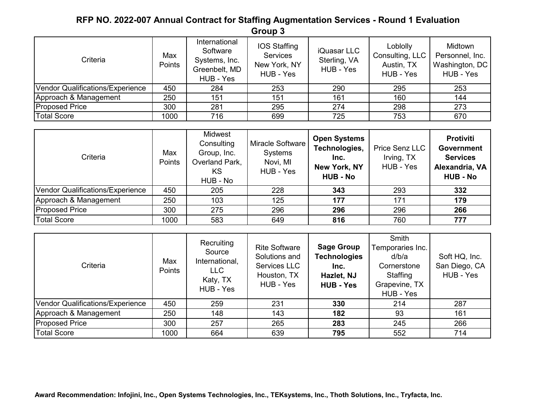| Criteria                         | Max<br>Points | International<br>Software<br>Systems, Inc.<br>Greenbelt, MD<br>HUB - Yes | <b>IOS Staffing</b><br><b>Services</b><br>New York, NY<br>HUB - Yes | iQuasar LLC<br>Sterling, VA<br>HUB - Yes | Loblolly<br>Consulting, LLC<br>Austin, TX<br>HUB - Yes | Midtown<br>Personnel, Inc.<br>Washington, DC<br>HUB - Yes |
|----------------------------------|---------------|--------------------------------------------------------------------------|---------------------------------------------------------------------|------------------------------------------|--------------------------------------------------------|-----------------------------------------------------------|
| Vendor Qualifications/Experience | 450           | 284                                                                      | 253                                                                 | 290                                      | 295                                                    | 253                                                       |
| Approach & Management            | 250           | 151                                                                      | 151                                                                 | 161                                      | 160                                                    | 144                                                       |
| <b>Proposed Price</b>            | 300           | 281                                                                      | 295                                                                 | 274                                      | 298                                                    | 273                                                       |
| <b>Total Score</b>               | 1000          | 716                                                                      | 699                                                                 | 725                                      | 753                                                    | 670                                                       |

| Criteria                         | Max<br><b>Points</b> | Midwest<br>Consulting<br>Group, Inc.<br>Overland Park,<br>KS.<br>HUB - No | Miracle Software<br>Systems<br>Novi, MI<br>HUB - Yes | <b>Open Systems</b><br>Technologies,<br>Inc.<br>New York, NY<br><b>HUB - No</b> | Price Senz LLC<br>Irving, TX<br>HUB - Yes | <b>Protiviti</b><br><b>Government</b><br><b>Services</b><br>Alexandria, VA<br><b>HUB - No</b> |
|----------------------------------|----------------------|---------------------------------------------------------------------------|------------------------------------------------------|---------------------------------------------------------------------------------|-------------------------------------------|-----------------------------------------------------------------------------------------------|
| Vendor Qualifications/Experience | 450                  | 205                                                                       | 228                                                  | 343                                                                             | 293                                       | 332                                                                                           |
| Approach & Management            | 250                  | 103                                                                       | 125                                                  | 177                                                                             | 171                                       | 179                                                                                           |
| <b>Proposed Price</b>            | 300                  | 275                                                                       | 296                                                  | 296                                                                             | 296                                       | 266                                                                                           |
| <b>Total Score</b>               | 1000                 | 583                                                                       | 649                                                  | 816                                                                             | 760                                       | 777                                                                                           |

| Criteria                         | Max<br>Points | Recruiting<br>Source<br>International,<br>LLC<br>Katy, TX<br>HUB - Yes | <b>Rite Software</b><br>Solutions and<br>Services LLC<br>Houston, TX<br>HUB - Yes | <b>Sage Group</b><br><b>Technologies</b><br>Inc.<br>Hazlet, NJ<br><b>HUB - Yes</b> | Smith<br>Temporaries Inc.<br>d/b/a<br>Cornerstone<br>Staffing<br>Grapevine, TX<br>HUB - Yes | Soft HQ, Inc.<br>San Diego, CA<br>HUB - Yes |
|----------------------------------|---------------|------------------------------------------------------------------------|-----------------------------------------------------------------------------------|------------------------------------------------------------------------------------|---------------------------------------------------------------------------------------------|---------------------------------------------|
| Vendor Qualifications/Experience | 450           | 259                                                                    | 231                                                                               | 330                                                                                | 214                                                                                         | 287                                         |
| Approach & Management            | 250           | 148                                                                    | 143                                                                               | 182                                                                                | 93                                                                                          | 161                                         |
| <b>Proposed Price</b>            | 300           | 257                                                                    | 265                                                                               | 283                                                                                | 245                                                                                         | 266                                         |
| <b>Total Score</b>               | 1000          | 664                                                                    | 639                                                                               | 795                                                                                | 552                                                                                         | 714                                         |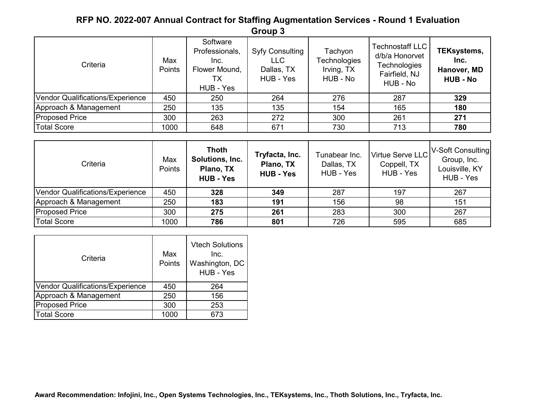| Criteria                         | Max<br>Points | Software<br>Professionals,<br>Inc.<br>Flower Mound,<br>TХ<br>HUB - Yes | <b>Syfy Consulting</b><br><b>LLC</b><br>Dallas, TX<br>HUB - Yes | Tachyon<br>Technologies<br>Irving, TX<br>HUB - No | <b>Technostaff LLC</b><br>d/b/a Honorvet<br>Technologies<br>Fairfield, NJ<br>HUB - No | TEKsystems,<br>Inc.<br>Hanover, MD<br><b>HUB - No</b> |
|----------------------------------|---------------|------------------------------------------------------------------------|-----------------------------------------------------------------|---------------------------------------------------|---------------------------------------------------------------------------------------|-------------------------------------------------------|
| Vendor Qualifications/Experience | 450           | 250                                                                    | 264                                                             | 276                                               | 287                                                                                   | 329                                                   |
| Approach & Management            | 250           | 135                                                                    | 135                                                             | 154                                               | 165                                                                                   | 180                                                   |
| <b>Proposed Price</b>            | 300           | 263                                                                    | 272                                                             | 300                                               | 261                                                                                   | 271                                                   |
| <b>Total Score</b>               | 1000          | 648                                                                    | 671                                                             | 730                                               | 713                                                                                   | 780                                                   |

| Criteria                         | Max<br><b>Points</b> | <b>Thoth</b><br>Solutions, Inc.<br>Plano, TX<br><b>HUB - Yes</b> | Tryfacta, Inc.<br>Plano, TX<br><b>HUB - Yes</b> | Tunabear Inc.<br>Dallas, TX<br>HUB - Yes | Virtue Serve LLC<br>Coppell, TX<br>HUB - Yes | V-Soft Consulting<br>Group, Inc.<br>Louisville, KY<br>HUB - Yes |
|----------------------------------|----------------------|------------------------------------------------------------------|-------------------------------------------------|------------------------------------------|----------------------------------------------|-----------------------------------------------------------------|
| Vendor Qualifications/Experience | 450                  | 328                                                              | 349                                             | 287                                      | 197                                          | 267                                                             |
| Approach & Management            | 250                  | 183                                                              | 191                                             | 156                                      | 98                                           | 151                                                             |
| <b>Proposed Price</b>            | 300                  | 275                                                              | 261                                             | 283                                      | 300                                          | 267                                                             |
| <b>Total Score</b>               | 1000                 | 786                                                              | 801                                             | 726                                      | 595                                          | 685                                                             |

| Criteria                                | Max<br>Points | <b>Vtech Solutions</b><br>Inc.<br>Washington, DC<br>HUB - Yes |
|-----------------------------------------|---------------|---------------------------------------------------------------|
| <b>Vendor Qualifications/Experience</b> | 450           | 264                                                           |
| Approach & Management                   | 250           | 156                                                           |
| <b>Proposed Price</b>                   | 300           | 253                                                           |
| <b>Total Score</b>                      | 1000          | 673                                                           |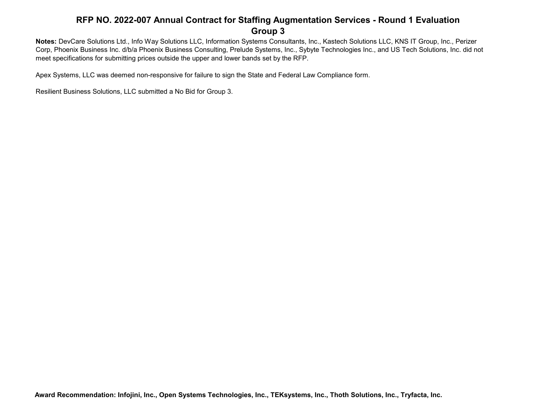**Notes:** DevCare Solutions Ltd., Info Way Solutions LLC, Information Systems Consultants, Inc., Kastech Solutions LLC, KNS IT Group, Inc., Perizer Corp, Phoenix Business Inc. d/b/a Phoenix Business Consulting, Prelude Systems, Inc., Sybyte Technologies Inc., and US Tech Solutions, Inc. did not meet specifications for submitting prices outside the upper and lower bands set by the RFP.

Apex Systems, LLC was deemed non-responsive for failure to sign the State and Federal Law Compliance form.

Resilient Business Solutions, LLC submitted a No Bid for Group 3.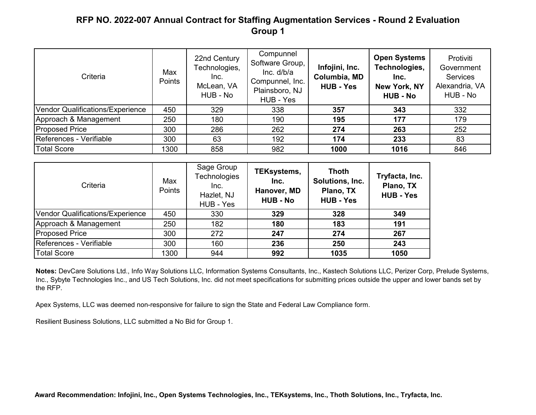| Criteria                         | Max<br>Points | 22nd Century<br>Technologies,<br>Inc.<br>McLean, VA<br>HUB - No | Compunnel<br>Software Group,<br>Inc. d/b/a<br>Compunnel, Inc.<br>Plainsboro, NJ<br>HUB - Yes | Infojini, Inc.<br>Columbia, MD<br><b>HUB - Yes</b> | <b>Open Systems</b><br>Technologies,<br>Inc.<br>New York, NY<br><b>HUB - No</b> | Protiviti<br>Government<br><b>Services</b><br>Alexandria, VA<br>HUB - No |
|----------------------------------|---------------|-----------------------------------------------------------------|----------------------------------------------------------------------------------------------|----------------------------------------------------|---------------------------------------------------------------------------------|--------------------------------------------------------------------------|
| Vendor Qualifications/Experience | 450           | 329                                                             | 338                                                                                          | 357                                                | 343                                                                             | 332                                                                      |
| Approach & Management            | 250           | 180                                                             | 190                                                                                          | 195                                                | 177                                                                             | 179                                                                      |
| <b>Proposed Price</b>            | 300           | 286                                                             | 262                                                                                          | 274                                                | 263                                                                             | 252                                                                      |
| References - Verifiable          | 300           | 63                                                              | 192                                                                                          | 174                                                | 233                                                                             | 83                                                                       |
| <b>Total Score</b>               | 1300          | 858                                                             | 982                                                                                          | 1000                                               | 1016                                                                            | 846                                                                      |

| Criteria                         | Max<br><b>Points</b> | Sage Group<br><b>Technologies</b><br>Inc.<br>Hazlet, NJ<br>HUB - Yes | TEKsystems,<br>Inc.<br>Hanover, MD<br><b>HUB - No</b> | <b>Thoth</b><br>Solutions, Inc.<br>Plano, TX<br><b>HUB - Yes</b> | Tryfacta, Inc.<br>Plano, TX<br><b>HUB - Yes</b> |
|----------------------------------|----------------------|----------------------------------------------------------------------|-------------------------------------------------------|------------------------------------------------------------------|-------------------------------------------------|
| Vendor Qualifications/Experience | 450                  | 330                                                                  | 329                                                   | 328                                                              | 349                                             |
| Approach & Management            | 250                  | 182                                                                  | 180                                                   | 183                                                              | 191                                             |
| <b>Proposed Price</b>            | 300                  | 272                                                                  | 247                                                   | 274                                                              | 267                                             |
| References - Verifiable          | 300                  | 160                                                                  | 236                                                   | 250                                                              | 243                                             |
| <b>Total Score</b>               | 1300                 | 944                                                                  | 992                                                   | 1035                                                             | 1050                                            |

**Notes:** DevCare Solutions Ltd., Info Way Solutions LLC, Information Systems Consultants, Inc., Kastech Solutions LLC, Perizer Corp, Prelude Systems, Inc., Sybyte Technologies Inc., and US Tech Solutions, Inc. did not meet specifications for submitting prices outside the upper and lower bands set by the RFP.

Apex Systems, LLC was deemed non-responsive for failure to sign the State and Federal Law Compliance form.

Resilient Business Solutions, LLC submitted a No Bid for Group 1.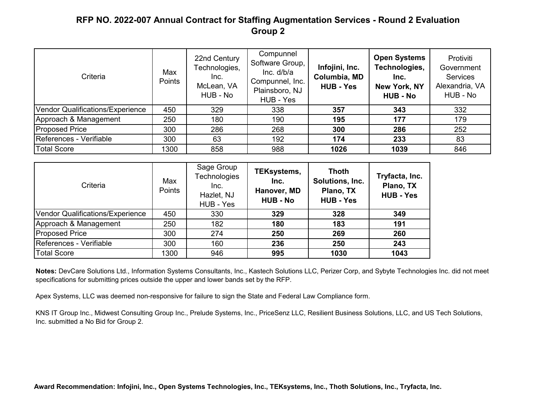| Criteria                         | Max<br>Points | 22nd Century<br>Technologies,<br>Inc.<br>McLean, VA<br>HUB - No | Compunnel<br>Software Group,<br>Inc. d/b/a<br>Compunnel, Inc.<br>Plainsboro, NJ<br>HUB - Yes | Infojini, Inc.<br>Columbia, MD<br><b>HUB - Yes</b> | <b>Open Systems</b><br>Technologies,<br>Inc.<br>New York, NY<br><b>HUB - No</b> | Protiviti<br>Government<br><b>Services</b><br>Alexandria, VA<br>HUB - No |
|----------------------------------|---------------|-----------------------------------------------------------------|----------------------------------------------------------------------------------------------|----------------------------------------------------|---------------------------------------------------------------------------------|--------------------------------------------------------------------------|
| Vendor Qualifications/Experience | 450           | 329                                                             | 338                                                                                          | 357                                                | 343                                                                             | 332                                                                      |
| Approach & Management            | 250           | 180                                                             | 190                                                                                          | 195                                                | 177                                                                             | 179                                                                      |
| <b>Proposed Price</b>            | 300           | 286                                                             | 268                                                                                          | 300                                                | 286                                                                             | 252                                                                      |
| References - Verifiable          | 300           | 63                                                              | 192                                                                                          | 174                                                | 233                                                                             | 83                                                                       |
| <b>Total Score</b>               | 1300          | 858                                                             | 988                                                                                          | 1026                                               | 1039                                                                            | 846                                                                      |

| Criteria                         | Max<br><b>Points</b> | Sage Group<br><b>Technologies</b><br>Inc.<br>Hazlet, NJ<br>HUB - Yes | TEKsystems,<br>Inc.<br>Hanover, MD<br><b>HUB - No</b> | <b>Thoth</b><br>Solutions, Inc.<br>Plano, TX<br><b>HUB - Yes</b> | Tryfacta, Inc.<br>Plano, TX<br><b>HUB - Yes</b> |
|----------------------------------|----------------------|----------------------------------------------------------------------|-------------------------------------------------------|------------------------------------------------------------------|-------------------------------------------------|
| Vendor Qualifications/Experience | 450                  | 330                                                                  | 329                                                   | 328                                                              | 349                                             |
| Approach & Management            | 250                  | 182                                                                  | 180                                                   | 183                                                              | 191                                             |
| <b>Proposed Price</b>            | 300                  | 274                                                                  | 250                                                   | 269                                                              | 260                                             |
| References - Verifiable          | 300                  | 160                                                                  | 236                                                   | 250                                                              | 243                                             |
| <b>Total Score</b>               | 1300                 | 946                                                                  | 995                                                   | 1030                                                             | 1043                                            |

**Notes:** DevCare Solutions Ltd., Information Systems Consultants, Inc., Kastech Solutions LLC, Perizer Corp, and Sybyte Technologies Inc. did not meet specifications for submitting prices outside the upper and lower bands set by the RFP.

Apex Systems, LLC was deemed non-responsive for failure to sign the State and Federal Law Compliance form.

KNS IT Group Inc., Midwest Consulting Group Inc., Prelude Systems, Inc., PriceSenz LLC, Resilient Business Solutions, LLC, and US Tech Solutions, Inc. submitted a No Bid for Group 2.